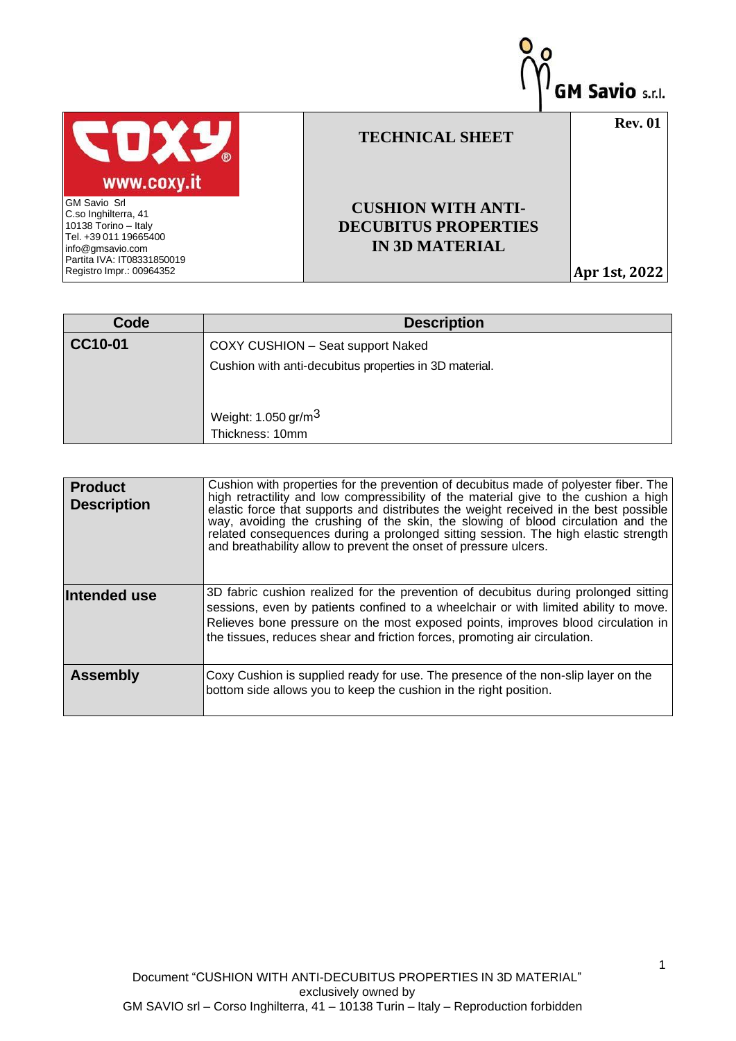

| Code    | <b>Description</b>                                     |  |  |  |
|---------|--------------------------------------------------------|--|--|--|
| CC10-01 | COXY CUSHION - Seat support Naked                      |  |  |  |
|         | Cushion with anti-decubitus properties in 3D material. |  |  |  |
|         |                                                        |  |  |  |
|         | Weight: $1.050$ gr/m <sup>3</sup>                      |  |  |  |
|         | Thickness: 10mm                                        |  |  |  |

| <b>Product</b><br><b>Description</b> | Cushion with properties for the prevention of decubitus made of polyester fiber. The<br>high retractility and low compressibility of the material give to the cushion a high<br>elastic force that supports and distributes the weight received in the best possible<br>way, avoiding the crushing of the skin, the slowing of blood circulation and the<br>related consequences during a prolonged sitting session. The high elastic strength<br>and breathability allow to prevent the onset of pressure ulcers. |
|--------------------------------------|--------------------------------------------------------------------------------------------------------------------------------------------------------------------------------------------------------------------------------------------------------------------------------------------------------------------------------------------------------------------------------------------------------------------------------------------------------------------------------------------------------------------|
| Intended use                         | 3D fabric cushion realized for the prevention of decubitus during prolonged sitting<br>sessions, even by patients confined to a wheelchair or with limited ability to move.<br>Relieves bone pressure on the most exposed points, improves blood circulation in<br>the tissues, reduces shear and friction forces, promoting air circulation.                                                                                                                                                                      |
| <b>Assembly</b>                      | Coxy Cushion is supplied ready for use. The presence of the non-slip layer on the<br>bottom side allows you to keep the cushion in the right position.                                                                                                                                                                                                                                                                                                                                                             |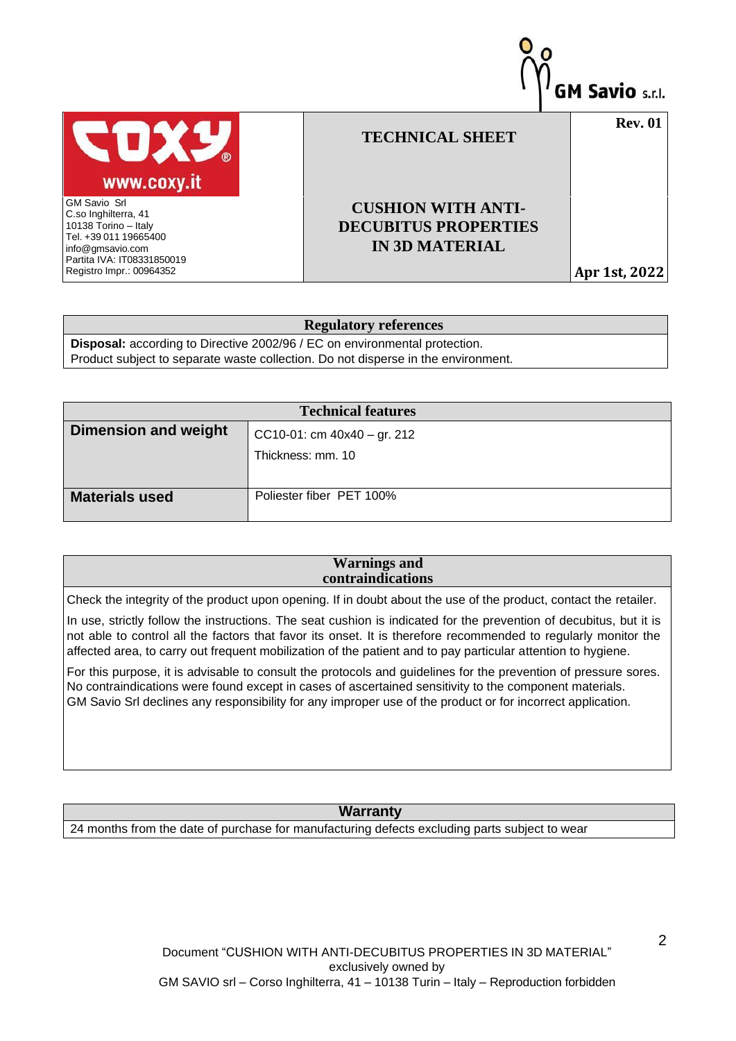

## **Regulatory references**

**Disposal:** according to Directive 2002/96 / EC on environmental protection. Product subject to separate waste collection. Do not disperse in the environment.

| <b>Technical features</b>   |                               |  |  |
|-----------------------------|-------------------------------|--|--|
| <b>Dimension and weight</b> | CC10-01: cm $40x40 - gr. 212$ |  |  |
|                             | Thickness: mm. 10             |  |  |
|                             |                               |  |  |
| <b>Materials used</b>       | Poliester fiber PET 100%      |  |  |

## **Warnings and contraindications**

Check the integrity of the product upon opening. If in doubt about the use of the product, contact the retailer.

In use, strictly follow the instructions. The seat cushion is indicated for the prevention of decubitus, but it is not able to control all the factors that favor its onset. It is therefore recommended to regularly monitor the affected area, to carry out frequent mobilization of the patient and to pay particular attention to hygiene.

For this purpose, it is advisable to consult the protocols and guidelines for the prevention of pressure sores. No contraindications were found except in cases of ascertained sensitivity to the component materials. GM Savio Srl declines any responsibility for any improper use of the product or for incorrect application.

## **Warranty**

24 months from the date of purchase for manufacturing defects excluding parts subject to wear